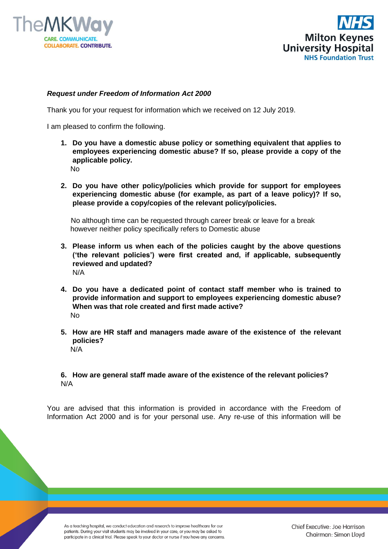



## *Request under Freedom of Information Act 2000*

Thank you for your request for information which we received on 12 July 2019.

I am pleased to confirm the following.

- **1. Do you have a domestic abuse policy or something equivalent that applies to employees experiencing domestic abuse? If so, please provide a copy of the applicable policy.** No
- **2. Do you have other policy/policies which provide for support for employees experiencing domestic abuse (for example, as part of a leave policy)? If so, please provide a copy/copies of the relevant policy/policies.**

No although time can be requested through career break or leave for a break however neither policy specifically refers to Domestic abuse

- **3. Please inform us when each of the policies caught by the above questions ('the relevant policies') were first created and, if applicable, subsequently reviewed and updated?** N/A
- **4. Do you have a dedicated point of contact staff member who is trained to provide information and support to employees experiencing domestic abuse? When was that role created and first made active?** No
- **5. How are HR staff and managers made aware of the existence of the relevant policies?** N/A

## **6. How are general staff made aware of the existence of the relevant policies?** N/A

You are advised that this information is provided in accordance with the Freedom of Information Act 2000 and is for your personal use. Any re-use of this information will be

As a teaching hospital, we conduct education and research to improve healthcare for our patients. During your visit students may be involved in your care, or you may be asked to participate in a clinical trial. Please speak to your doctor or nurse if you have any concerns.